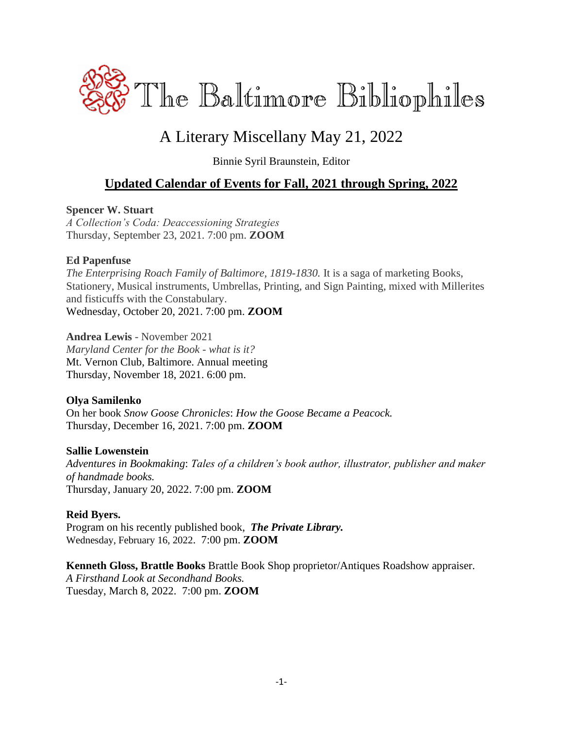

# A Literary Miscellany May 21, 2022

Binnie Syril Braunstein, Editor

## **Updated Calendar of Events for Fall, 2021 through Spring, 2022**

#### **Spencer W. Stuart**

*A Collection's Coda: Deaccessioning Strategies* Thursday, September 23, 2021. 7:00 pm. **ZOOM**

#### **Ed Papenfuse**

*The Enterprising Roach Family of Baltimore, 1819-1830.* It is a saga of marketing Books, Stationery, Musical instruments, Umbrellas, Printing, and Sign Painting, mixed with Millerites and fisticuffs with the Constabulary. Wednesday, October 20, 2021. 7:00 pm. **ZOOM**

**Andrea Lewis** - November 2021 *Maryland Center for the Book - what is it?* Mt. Vernon Club, Baltimore. Annual meeting Thursday, November 18, 2021. 6:00 pm.

### **Olya Samilenko**

On her book *Snow Goose Chronicles*: *How the Goose Became a Peacock.* Thursday, December 16, 2021. 7:00 pm. **ZOOM**

#### **Sallie Lowenstein**

*Adventures in Bookmaking*: *Tales of a children's book author, illustrator, publisher and maker of handmade books.* Thursday, January 20, 2022. 7:00 pm. **ZOOM**

#### **Reid Byers.**

Program on his recently published book,*The Private Library.* Wednesday, February 16, 2022. 7:00 pm. **ZOOM**

**Kenneth Gloss, Brattle Books** Brattle Book Shop proprietor/Antiques Roadshow appraiser. *A Firsthand Look at Secondhand Books.* Tuesday, March 8, 2022. 7:00 pm. **ZOOM**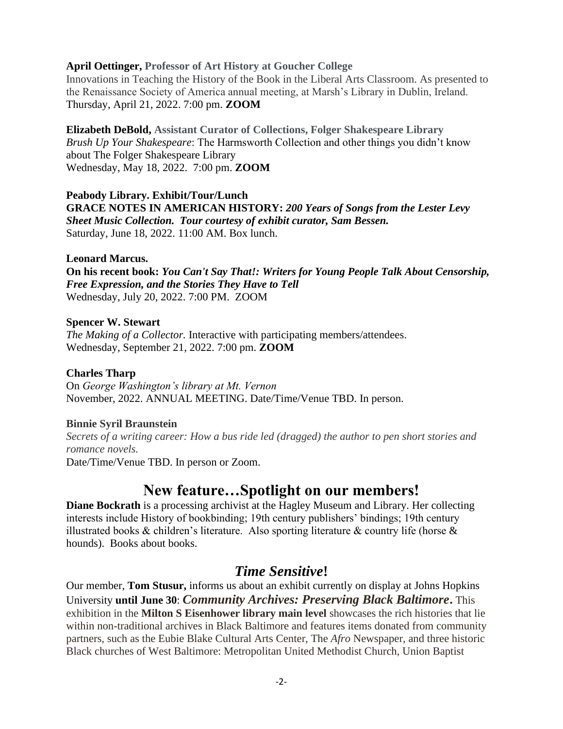#### **April Oettinger, Professor of Art History at Goucher College**

Innovations in Teaching the History of the Book in the Liberal Arts Classroom. As presented to the Renaissance Society of America annual meeting, at Marsh's Library in Dublin, Ireland. Thursday, April 21, 2022. 7:00 pm. **ZOOM**

**Elizabeth DeBold, Assistant Curator of Collections, Folger Shakespeare Library** *Brush Up Your Shakespeare*: The Harmsworth Collection and other things you didn't know about The Folger Shakespeare Library Wednesday, May 18, 2022. 7:00 pm. **ZOOM**

**Peabody Library. Exhibit/Tour/Lunch GRACE NOTES IN AMERICAN HISTORY:** *200 Years of Songs from the Lester Levy Sheet Music Collection. Tour courtesy of exhibit curator, Sam Bessen.* Saturday, June 18, 2022. 11:00 AM. Box lunch.

#### **Leonard Marcus.**

**On his recent book:** *You Can't Say That!: Writers for Young People Talk About Censorship, Free Expression, and the Stories They Have to Tell* Wednesday, July 20, 2022. 7:00 PM. ZOOM

#### **Spencer W. Stewart**

*The Making of a Collector.* Interactive with participating members/attendees. Wednesday, September 21, 2022. 7:00 pm. **ZOOM**

#### **Charles Tharp**

On *George Washington's library at Mt. Vernon* November, 2022. ANNUAL MEETING. Date/Time/Venue TBD. In person.

#### **Binnie Syril Braunstein**

*Secrets of a writing career: How a bus ride led (dragged) the author to pen short stories and romance novels.*

Date/Time/Venue TBD. In person or Zoom.

## **New feature…Spotlight on our members!**

**Diane Bockrath** is a processing archivist at the Hagley Museum and Library. Her collecting interests include History of bookbinding; 19th century publishers' bindings; 19th century illustrated books & children's literature. Also sporting literature & country life (horse  $\&$ hounds). Books about books.

### *Time Sensitive***!**

Our member, **Tom Stusur,** informs us about an exhibit currently on display at Johns Hopkins University **until June 30**: *Community Archives: Preserving Black Baltimore***.** This exhibition in the **Milton S Eisenhower library main level** showcases the rich histories that lie within non-traditional archives in Black Baltimore and features items donated from community partners, such as the Eubie Blake Cultural Arts Center, The *Afro* Newspaper, and three historic Black churches of West Baltimore: Metropolitan United Methodist Church, Union Baptist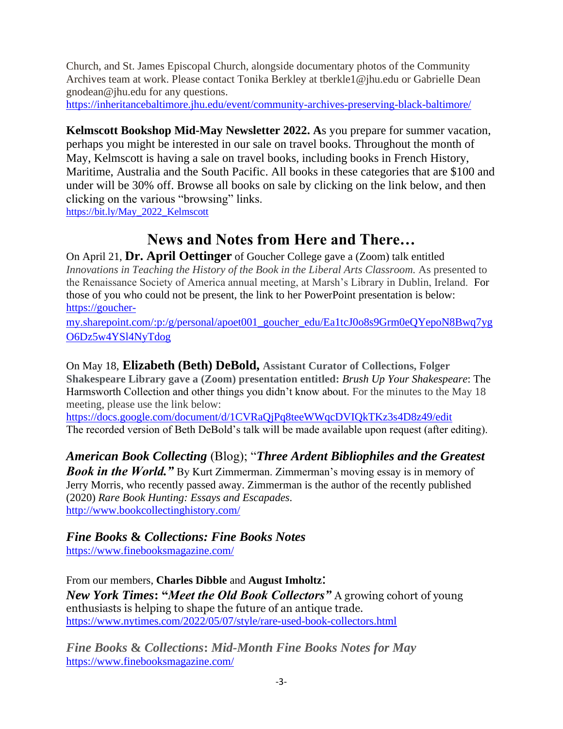Church, and St. James Episcopal Church, alongside documentary photos of the Community Archives team at work. Please contact Tonika Berkley at tberkle1@jhu.edu or Gabrielle Dean gnodean@jhu.edu for any questions.

<https://inheritancebaltimore.jhu.edu/event/community-archives-preserving-black-baltimore/>

**Kelmscott Bookshop Mid-May Newsletter 2022. A**s you prepare for summer vacation, perhaps you might be interested in our sale on travel books. Throughout the month of May, Kelmscott is having a sale on travel books, including books in French History, Maritime, Australia and the South Pacific. All books in these categories that are \$100 and under will be 30% off. Browse all books on sale by clicking on the link below, and then clicking on the various "browsing" links.

[https://bit.ly/May\\_2022\\_Kelmscott](https://bit.ly/May_2022_Kelmscott)

# **News and Notes from Here and There…**

On April 21, **Dr. April Oettinger** of Goucher College gave a (Zoom) talk entitled *Innovations in Teaching the History of the Book in the Liberal Arts Classroom.* As presented to the Renaissance Society of America annual meeting, at Marsh's Library in Dublin, Ireland. For those of you who could not be present, the link to her PowerPoint presentation is below: [https://goucher-](https://goucher-my.sharepoint.com/:p:/g/personal/apoet001_goucher_edu/Ea1tcJ0o8s9Grm0eQYepoN8Bwq7ygO6Dz5w4YSl4NyTdog)

[my.sharepoint.com/:p:/g/personal/apoet001\\_goucher\\_edu/Ea1tcJ0o8s9Grm0eQYepoN8Bwq7yg](https://goucher-my.sharepoint.com/:p:/g/personal/apoet001_goucher_edu/Ea1tcJ0o8s9Grm0eQYepoN8Bwq7ygO6Dz5w4YSl4NyTdog) [O6Dz5w4YSl4NyTdog](https://goucher-my.sharepoint.com/:p:/g/personal/apoet001_goucher_edu/Ea1tcJ0o8s9Grm0eQYepoN8Bwq7ygO6Dz5w4YSl4NyTdog)

On May 18, **Elizabeth (Beth) DeBold, Assistant Curator of Collections, Folger Shakespeare Library gave a (Zoom) presentation entitled:** *Brush Up Your Shakespeare*: The Harmsworth Collection and other things you didn't know about. For the minutes to the May 18 meeting, please use the link below:

<https://docs.google.com/document/d/1CVRaQjPq8teeWWqcDVIQkTKz3s4D8z49/edit> The recorded version of Beth DeBold's talk will be made available upon request (after editing).

*American Book Collecting* (Blog); "*Three Ardent Bibliophiles and the Greatest*  **Book in the World.**" By Kurt Zimmerman. Zimmerman's moving essay is in memory of Jerry Morris, who recently passed away. Zimmerman is the author of the recently published (2020) *Rare Book Hunting: Essays and Escapades.* <http://www.bookcollectinghistory.com/>

# *Fine Books* **&** *Collections: Fine Books Notes*

<https://www.finebooksmagazine.com/>

From our members, **Charles Dibble** and **August Imholtz**: *New York Times***: "***Meet the Old Book Collectors"* A growing cohort of young enthusiasts is helping to shape the future of an antique trade. <https://www.nytimes.com/2022/05/07/style/rare-used-book-collectors.html>

*Fine Books* **&** *Collections***:** *Mid-Month Fine Books Notes for May* <https://www.finebooksmagazine.com/>